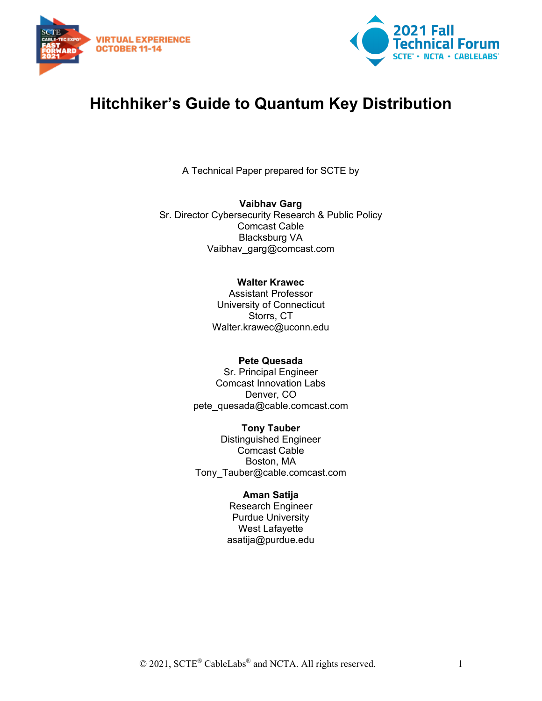



# **Hitchhiker's Guide to Quantum Key Distribution**

A Technical Paper prepared for SCTE by

**Vaibhav Garg** Sr. Director Cybersecurity Research & Public Policy Comcast Cable Blacksburg VA Vaibhav\_garg@comcast.com

#### **Walter Krawec**

Assistant Professor University of Connecticut Storrs, CT Walter.krawec@uconn.edu

#### **Pete Quesada**

Sr. Principal Engineer Comcast Innovation Labs Denver, CO pete\_quesada@cable.comcast.com

**Tony Tauber** Distinguished Engineer Comcast Cable Boston, MA Tony\_Tauber@cable.comcast.com

#### **Aman Satija**

Research Engineer Purdue University West Lafayette asatija@purdue.edu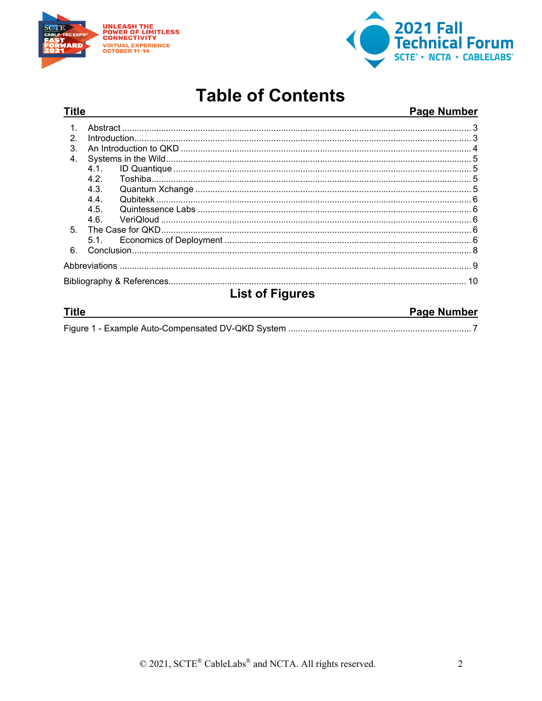



# **Table of Contents**

#### **Title Page Number**  $1.$  $\mathcal{P}$  $4.1$  $4.2.$  $4.3.$  $4.4$  $4.5.$  $4.6.$  $5<sub>1</sub>$  $5.1.$ 6. **List of Figures Title Page Number**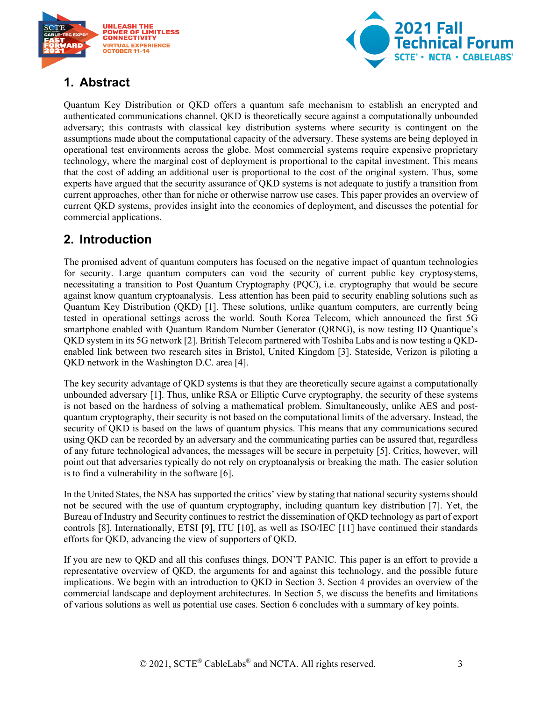



# <span id="page-2-0"></span>**1. Abstract**

Quantum Key Distribution or QKD offers a quantum safe mechanism to establish an encrypted and authenticated communications channel. QKD is theoretically secure against a computationally unbounded adversary; this contrasts with classical key distribution systems where security is contingent on the assumptions made about the computational capacity of the adversary. These systems are being deployed in operational test environments across the globe. Most commercial systems require expensive proprietary technology, where the marginal cost of deployment is proportional to the capital investment. This means that the cost of adding an additional user is proportional to the cost of the original system. Thus, some experts have argued that the security assurance of QKD systems is not adequate to justify a transition from current approaches, other than for niche or otherwise narrow use cases. This paper provides an overview of current QKD systems, provides insight into the economics of deployment, and discusses the potential for commercial applications.

### <span id="page-2-1"></span>**2. Introduction**

The promised advent of quantum computers has focused on the negative impact of quantum technologies for security. Large quantum computers can void the security of current public key cryptosystems, necessitating a transition to Post Quantum Cryptography (PQC), i.e. cryptography that would be secure against know quantum cryptoanalysis. Less attention has been paid to security enabling solutions such as Quantum Key Distribution (QKD) [1]. These solutions, unlike quantum computers, are currently being tested in operational settings across the world. South Korea Telecom, which announced the first 5G smartphone enabled with Quantum Random Number Generator (QRNG), is now testing ID Quantique's QKD system in its 5G network [2]. British Telecom partnered with Toshiba Labs and is now testing a QKDenabled link between two research sites in Bristol, United Kingdom [3]. Stateside, Verizon is piloting a QKD network in the Washington D.C. area [4].

The key security advantage of QKD systems is that they are theoretically secure against a computationally unbounded adversary [1]. Thus, unlike RSA or Elliptic Curve cryptography, the security of these systems is not based on the hardness of solving a mathematical problem. Simultaneously, unlike AES and postquantum cryptography, their security is not based on the computational limits of the adversary. Instead, the security of QKD is based on the laws of quantum physics. This means that any communications secured using QKD can be recorded by an adversary and the communicating parties can be assured that, regardless of any future technological advances, the messages will be secure in perpetuity [5]. Critics, however, will point out that adversaries typically do not rely on cryptoanalysis or breaking the math. The easier solution is to find a vulnerability in the software [6].

In the United States, the NSA has supported the critics' view by stating that national security systems should not be secured with the use of quantum cryptography, including quantum key distribution [7]. Yet, the Bureau of Industry and Security continues to restrict the dissemination of QKD technology as part of export controls [8]. Internationally, ETSI [9], ITU [10], as well as ISO/IEC [11] have continued their standards efforts for QKD, advancing the view of supporters of QKD.

If you are new to QKD and all this confuses things, DON'T PANIC. This paper is an effort to provide a representative overview of QKD, the arguments for and against this technology, and the possible future implications. We begin with an introduction to QKD in Section 3. Section 4 provides an overview of the commercial landscape and deployment architectures. In Section 5, we discuss the benefits and limitations of various solutions as well as potential use cases. Section 6 concludes with a summary of key points.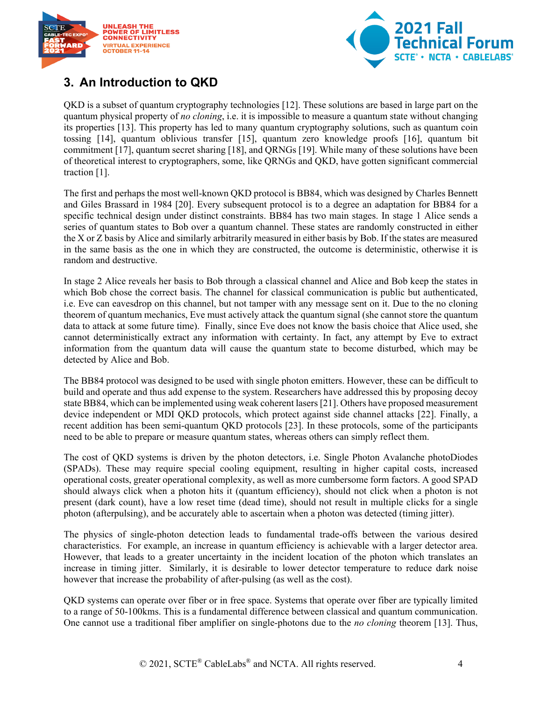



## <span id="page-3-0"></span>**3. An Introduction to QKD**

QKD is a subset of quantum cryptography technologies [12]. These solutions are based in large part on the quantum physical property of *no cloning*, i.e. it is impossible to measure a quantum state without changing its properties [13]. This property has led to many quantum cryptography solutions, such as quantum coin tossing [14], quantum oblivious transfer [15], quantum zero knowledge proofs [16], quantum bit commitment [17], quantum secret sharing [18], and QRNGs [19]. While many of these solutions have been of theoretical interest to cryptographers, some, like QRNGs and QKD, have gotten significant commercial traction [1].

The first and perhaps the most well-known QKD protocol is BB84, which was designed by Charles Bennett and Giles Brassard in 1984 [20]. Every subsequent protocol is to a degree an adaptation for BB84 for a specific technical design under distinct constraints. BB84 has two main stages. In stage 1 Alice sends a series of quantum states to Bob over a quantum channel. These states are randomly constructed in either the X or Z basis by Alice and similarly arbitrarily measured in either basis by Bob. If the states are measured in the same basis as the one in which they are constructed, the outcome is deterministic, otherwise it is random and destructive.

In stage 2 Alice reveals her basis to Bob through a classical channel and Alice and Bob keep the states in which Bob chose the correct basis. The channel for classical communication is public but authenticated, i.e. Eve can eavesdrop on this channel, but not tamper with any message sent on it. Due to the no cloning theorem of quantum mechanics, Eve must actively attack the quantum signal (she cannot store the quantum data to attack at some future time). Finally, since Eve does not know the basis choice that Alice used, she cannot deterministically extract any information with certainty. In fact, any attempt by Eve to extract information from the quantum data will cause the quantum state to become disturbed, which may be detected by Alice and Bob.

The BB84 protocol was designed to be used with single photon emitters. However, these can be difficult to build and operate and thus add expense to the system. Researchers have addressed this by proposing decoy state BB84, which can be implemented using weak coherent lasers [21]. Others have proposed measurement device independent or MDI QKD protocols, which protect against side channel attacks [22]. Finally, a recent addition has been semi-quantum QKD protocols [23]. In these protocols, some of the participants need to be able to prepare or measure quantum states, whereas others can simply reflect them.

The cost of QKD systems is driven by the photon detectors, i.e. Single Photon Avalanche photoDiodes (SPADs). These may require special cooling equipment, resulting in higher capital costs, increased operational costs, greater operational complexity, as well as more cumbersome form factors. A good SPAD should always click when a photon hits it (quantum efficiency), should not click when a photon is not present (dark count), have a low reset time (dead time), should not result in multiple clicks for a single photon (afterpulsing), and be accurately able to ascertain when a photon was detected (timing jitter).

The physics of single-photon detection leads to fundamental trade-offs between the various desired characteristics. For example, an increase in quantum efficiency is achievable with a larger detector area. However, that leads to a greater uncertainty in the incident location of the photon which translates an increase in timing jitter. Similarly, it is desirable to lower detector temperature to reduce dark noise however that increase the probability of after-pulsing (as well as the cost).

QKD systems can operate over fiber or in free space. Systems that operate over fiber are typically limited to a range of 50-100kms. This is a fundamental difference between classical and quantum communication. One cannot use a traditional fiber amplifier on single-photons due to the *no cloning* theorem [13]. Thus,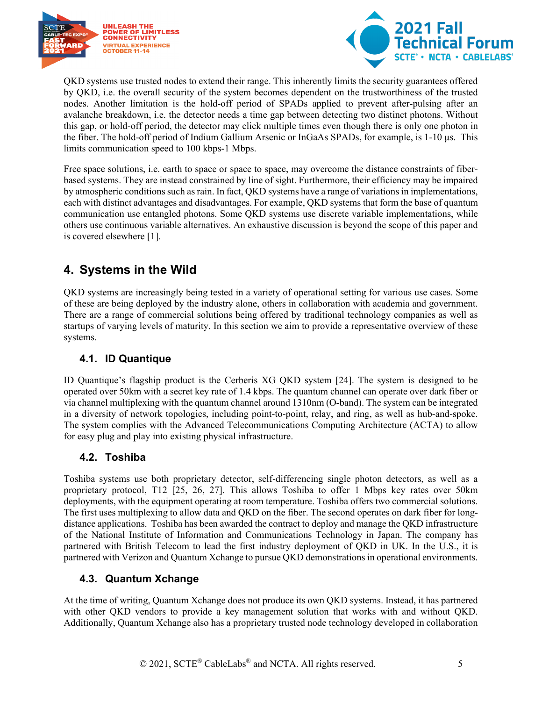



QKD systems use trusted nodes to extend their range. This inherently limits the security guarantees offered by QKD, i.e. the overall security of the system becomes dependent on the trustworthiness of the trusted nodes. Another limitation is the hold-off period of SPADs applied to prevent after-pulsing after an avalanche breakdown, i.e. the detector needs a time gap between detecting two distinct photons. Without this gap, or hold-off period, the detector may click multiple times even though there is only one photon in the fiber. The hold-off period of Indium Gallium Arsenic or InGaAs SPADs, for example, is 1-10 μs. This limits communication speed to 100 kbps-1 Mbps.

Free space solutions, i.e. earth to space or space to space, may overcome the distance constraints of fiberbased systems. They are instead constrained by line of sight. Furthermore, their efficiency may be impaired by atmospheric conditions such as rain. In fact, QKD systems have a range of variations in implementations, each with distinct advantages and disadvantages. For example, QKD systems that form the base of quantum communication use entangled photons. Some QKD systems use discrete variable implementations, while others use continuous variable alternatives. An exhaustive discussion is beyond the scope of this paper and is covered elsewhere [1].

### <span id="page-4-0"></span>**4. Systems in the Wild**

QKD systems are increasingly being tested in a variety of operational setting for various use cases. Some of these are being deployed by the industry alone, others in collaboration with academia and government. There are a range of commercial solutions being offered by traditional technology companies as well as startups of varying levels of maturity. In this section we aim to provide a representative overview of these systems.

#### <span id="page-4-1"></span>**4.1. ID Quantique**

ID Quantique's flagship product is the Cerberis XG QKD system [24]. The system is designed to be operated over 50km with a secret key rate of 1.4 kbps. The quantum channel can operate over dark fiber or via channel multiplexing with the quantum channel around 1310nm (O-band). The system can be integrated in a diversity of network topologies, including point-to-point, relay, and ring, as well as hub-and-spoke. The system complies with the Advanced Telecommunications Computing Architecture (ACTA) to allow for easy plug and play into existing physical infrastructure.

#### <span id="page-4-2"></span>**4.2. Toshiba**

Toshiba systems use both proprietary detector, self-differencing single photon detectors, as well as a proprietary protocol, T12 [25, 26, 27]. This allows Toshiba to offer 1 Mbps key rates over 50km deployments, with the equipment operating at room temperature. Toshiba offers two commercial solutions. The first uses multiplexing to allow data and QKD on the fiber. The second operates on dark fiber for longdistance applications. Toshiba has been awarded the contract to deploy and manage the QKD infrastructure of the National Institute of Information and Communications Technology in Japan. The company has partnered with British Telecom to lead the first industry deployment of QKD in UK. In the U.S., it is partnered with Verizon and Quantum Xchange to pursue QKD demonstrations in operational environments.

#### <span id="page-4-3"></span>**4.3. Quantum Xchange**

At the time of writing, Quantum Xchange does not produce its own QKD systems. Instead, it has partnered with other QKD vendors to provide a key management solution that works with and without QKD. Additionally, Quantum Xchange also has a proprietary trusted node technology developed in collaboration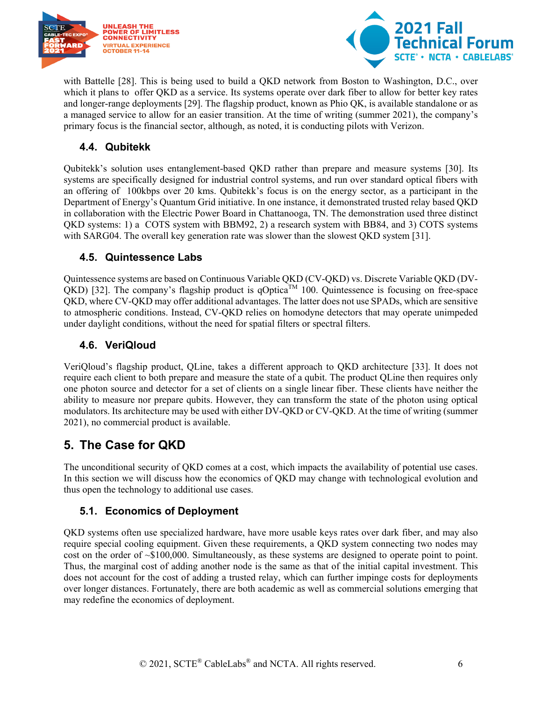



with Battelle [28]. This is being used to build a QKD network from Boston to Washington, D.C., over which it plans to offer QKD as a service. Its systems operate over dark fiber to allow for better key rates and longer-range deployments [29]. The flagship product, known as Phio QK, is available standalone or as a managed service to allow for an easier transition. At the time of writing (summer 2021), the company's primary focus is the financial sector, although, as noted, it is conducting pilots with Verizon.

### <span id="page-5-0"></span>**4.4. Qubitekk**

Qubitekk's solution uses entanglement-based QKD rather than prepare and measure systems [30]. Its systems are specifically designed for industrial control systems, and run over standard optical fibers with an offering of 100kbps over 20 kms. Qubitekk's focus is on the energy sector, as a participant in the Department of Energy's Quantum Grid initiative. In one instance, it demonstrated trusted relay based QKD in collaboration with the Electric Power Board in Chattanooga, TN. The demonstration used three distinct QKD systems: 1) a COTS system with BBM92, 2) a research system with BB84, and 3) COTS systems with SARG04. The overall key generation rate was slower than the slowest QKD system [31].

#### <span id="page-5-1"></span>**4.5. Quintessence Labs**

Quintessence systems are based on Continuous Variable QKD (CV-QKD) vs. Discrete Variable QKD (DV-QKD) [32]. The company's flagship product is qOptica<sup>TM</sup> 100. Quintessence is focusing on free-space QKD, where CV-QKD may offer additional advantages. The latter does not use SPADs, which are sensitive to atmospheric conditions. Instead, CV-QKD relies on homodyne detectors that may operate unimpeded under daylight conditions, without the need for spatial filters or spectral filters.

#### <span id="page-5-2"></span>**4.6. VeriQloud**

VeriQloud's flagship product, QLine, takes a different approach to QKD architecture [33]. It does not require each client to both prepare and measure the state of a qubit. The product QLine then requires only one photon source and detector for a set of clients on a single linear fiber. These clients have neither the ability to measure nor prepare qubits. However, they can transform the state of the photon using optical modulators. Its architecture may be used with either DV-QKD or CV-QKD. At the time of writing (summer 2021), no commercial product is available.

### <span id="page-5-3"></span>**5. The Case for QKD**

The unconditional security of QKD comes at a cost, which impacts the availability of potential use cases. In this section we will discuss how the economics of QKD may change with technological evolution and thus open the technology to additional use cases.

#### <span id="page-5-4"></span>**5.1. Economics of Deployment**

QKD systems often use specialized hardware, have more usable keys rates over dark fiber, and may also require special cooling equipment. Given these requirements, a QKD system connecting two nodes may cost on the order of ~\$100,000. Simultaneously, as these systems are designed to operate point to point. Thus, the marginal cost of adding another node is the same as that of the initial capital investment. This does not account for the cost of adding a trusted relay, which can further impinge costs for deployments over longer distances. Fortunately, there are both academic as well as commercial solutions emerging that may redefine the economics of deployment.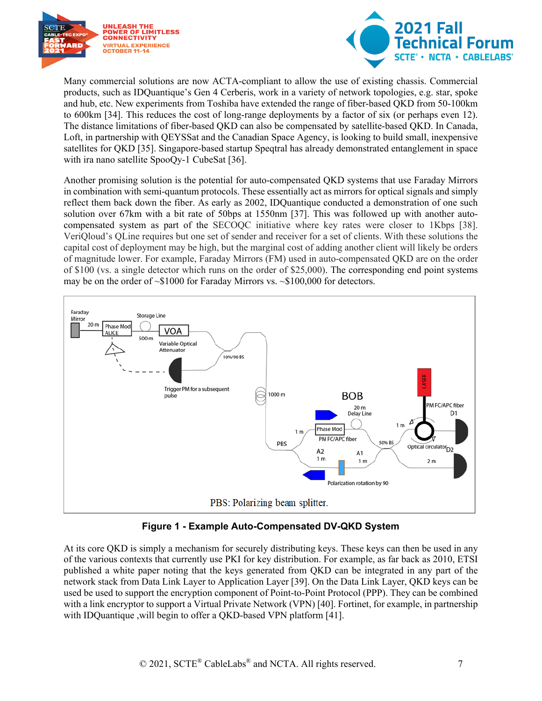



Many commercial solutions are now ACTA-compliant to allow the use of existing chassis. Commercial products, such as IDQuantique's Gen 4 Cerberis, work in a variety of network topologies, e.g. star, spoke and hub, etc. New experiments from Toshiba have extended the range of fiber-based QKD from 50-100km to 600km [34]. This reduces the cost of long-range deployments by a factor of six (or perhaps even 12). The distance limitations of fiber-based QKD can also be compensated by satellite-based QKD. In Canada, Loft, in partnership with QEYSSat and the Canadian Space Agency, is looking to build small, inexpensive satellites for QKD [35]. Singapore-based startup Speqtral has already demonstrated entanglement in space with ira nano satellite SpooQy-1 CubeSat [36].

Another promising solution is the potential for auto-compensated QKD systems that use Faraday Mirrors in combination with semi-quantum protocols. These essentially act as mirrors for optical signals and simply reflect them back down the fiber. As early as 2002, IDQuantique conducted a demonstration of one such solution over 67km with a bit rate of 50bps at 1550nm [37]. This was followed up with another autocompensated system as part of the SECOQC initiative where key rates were closer to 1Kbps [38]. VeriQloud's QLine requires but one set of sender and receiver for a set of clients. With these solutions the capital cost of deployment may be high, but the marginal cost of adding another client will likely be orders of magnitude lower. For example, Faraday Mirrors (FM) used in auto-compensated QKD are on the order of \$100 (vs. a single detector which runs on the order of \$25,000). The corresponding end point systems may be on the order of ~\$1000 for Faraday Mirrors vs. ~\$100,000 for detectors.



**Figure 1 - Example Auto-Compensated DV-QKD System**

<span id="page-6-0"></span>At its core QKD is simply a mechanism for securely distributing keys. These keys can then be used in any of the various contexts that currently use PKI for key distribution. For example, as far back as 2010, ETSI published a white paper noting that the keys generated from QKD can be integrated in any part of the network stack from Data Link Layer to Application Layer [39]. On the Data Link Layer, QKD keys can be used be used to support the encryption component of Point-to-Point Protocol (PPP). They can be combined with a link encryptor to support a Virtual Private Network (VPN) [40]. Fortinet, for example, in partnership with IDQuantique ,will begin to offer a QKD-based VPN platform [41].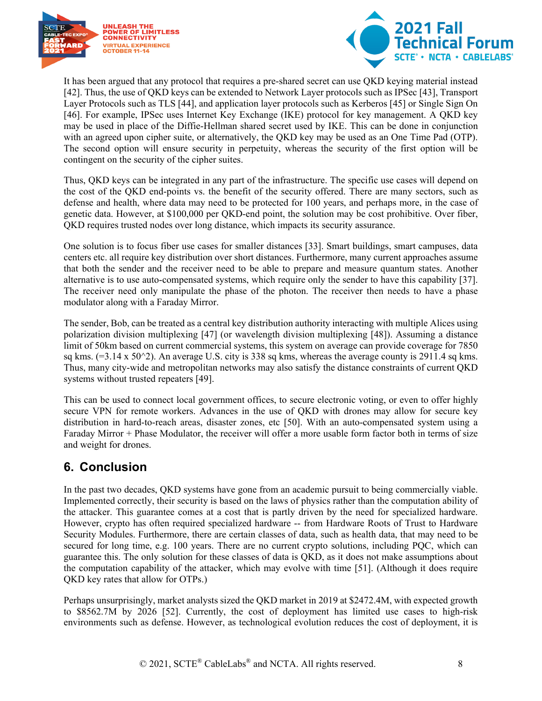



It has been argued that any protocol that requires a pre-shared secret can use QKD keying material instead [42]. Thus, the use of QKD keys can be extended to Network Layer protocols such as IPSec [43], Transport Layer Protocols such as TLS [44], and application layer protocols such as Kerberos [45] or Single Sign On [46]. For example, IPSec uses Internet Key Exchange (IKE) protocol for key management. A QKD key may be used in place of the Diffie-Hellman shared secret used by IKE. This can be done in conjunction with an agreed upon cipher suite, or alternatively, the QKD key may be used as an One Time Pad (OTP). The second option will ensure security in perpetuity, whereas the security of the first option will be contingent on the security of the cipher suites.

Thus, QKD keys can be integrated in any part of the infrastructure. The specific use cases will depend on the cost of the QKD end-points vs. the benefit of the security offered. There are many sectors, such as defense and health, where data may need to be protected for 100 years, and perhaps more, in the case of genetic data. However, at \$100,000 per QKD-end point, the solution may be cost prohibitive. Over fiber, QKD requires trusted nodes over long distance, which impacts its security assurance.

One solution is to focus fiber use cases for smaller distances [33]. Smart buildings, smart campuses, data centers etc. all require key distribution over short distances. Furthermore, many current approaches assume that both the sender and the receiver need to be able to prepare and measure quantum states. Another alternative is to use auto-compensated systems, which require only the sender to have this capability [37]. The receiver need only manipulate the phase of the photon. The receiver then needs to have a phase modulator along with a Faraday Mirror.

The sender, Bob, can be treated as a central key distribution authority interacting with multiple Alices using polarization division multiplexing [47] (or wavelength division multiplexing [48]). Assuming a distance limit of 50km based on current commercial systems, this system on average can provide coverage for 7850 sq kms.  $(=3.14 \times 50^{\circ}2)$ . An average U.S. city is 338 sq kms, whereas the average county is 2911.4 sq kms. Thus, many city-wide and metropolitan networks may also satisfy the distance constraints of current QKD systems without trusted repeaters [49].

This can be used to connect local government offices, to secure electronic voting, or even to offer highly secure VPN for remote workers. Advances in the use of QKD with drones may allow for secure key distribution in hard-to-reach areas, disaster zones, etc [50]. With an auto-compensated system using a Faraday Mirror + Phase Modulator, the receiver will offer a more usable form factor both in terms of size and weight for drones.

# <span id="page-7-0"></span>**6. Conclusion**

In the past two decades, QKD systems have gone from an academic pursuit to being commercially viable. Implemented correctly, their security is based on the laws of physics rather than the computation ability of the attacker. This guarantee comes at a cost that is partly driven by the need for specialized hardware. However, crypto has often required specialized hardware -- from Hardware Roots of Trust to Hardware Security Modules. Furthermore, there are certain classes of data, such as health data, that may need to be secured for long time, e.g. 100 years. There are no current crypto solutions, including PQC, which can guarantee this. The only solution for these classes of data is QKD, as it does not make assumptions about the computation capability of the attacker, which may evolve with time [51]. (Although it does require QKD key rates that allow for OTPs.)

Perhaps unsurprisingly, market analysts sized the QKD market in 2019 at \$2472.4M, with expected growth to \$8562.7M by 2026 [52]. Currently, the cost of deployment has limited use cases to high-risk environments such as defense. However, as technological evolution reduces the cost of deployment, it is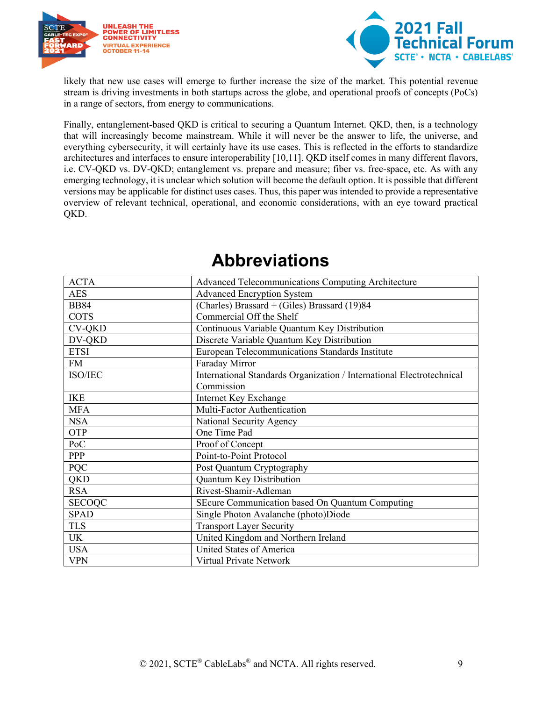



likely that new use cases will emerge to further increase the size of the market. This potential revenue stream is driving investments in both startups across the globe, and operational proofs of concepts (PoCs) in a range of sectors, from energy to communications.

Finally, entanglement-based QKD is critical to securing a Quantum Internet. QKD, then, is a technology that will increasingly become mainstream. While it will never be the answer to life, the universe, and everything cybersecurity, it will certainly have its use cases. This is reflected in the efforts to standardize architectures and interfaces to ensure interoperability [10,11]. QKD itself comes in many different flavors, i.e. CV-QKD vs. DV-QKD; entanglement vs. prepare and measure; fiber vs. free-space, etc. As with any emerging technology, it is unclear which solution will become the default option. It is possible that different versions may be applicable for distinct uses cases. Thus, this paper was intended to provide a representative overview of relevant technical, operational, and economic considerations, with an eye toward practical QKD.

<span id="page-8-0"></span>

| <b>ACTA</b>   | Advanced Telecommunications Computing Architecture                    |
|---------------|-----------------------------------------------------------------------|
| <b>AES</b>    | <b>Advanced Encryption System</b>                                     |
| <b>BB84</b>   | (Charles) Brassard + (Giles) Brassard (19)84                          |
| <b>COTS</b>   | Commercial Off the Shelf                                              |
| <b>CV-QKD</b> | Continuous Variable Quantum Key Distribution                          |
| DV-QKD        | Discrete Variable Quantum Key Distribution                            |
| <b>ETSI</b>   | European Telecommunications Standards Institute                       |
| <b>FM</b>     | Faraday Mirror                                                        |
| ISO/IEC       | International Standards Organization / International Electrotechnical |
|               | Commission                                                            |
| <b>IKE</b>    | Internet Key Exchange                                                 |
| <b>MFA</b>    | Multi-Factor Authentication                                           |
| <b>NSA</b>    | National Security Agency                                              |
| <b>OTP</b>    | One Time Pad                                                          |
| PoC           | Proof of Concept                                                      |
| PPP           | Point-to-Point Protocol                                               |
| <b>PQC</b>    | Post Quantum Cryptography                                             |
| QKD           | Quantum Key Distribution                                              |
| <b>RSA</b>    | Rivest-Shamir-Adleman                                                 |
| <b>SECOQC</b> | SEcure Communication based On Quantum Computing                       |
| <b>SPAD</b>   | Single Photon Avalanche (photo)Diode                                  |
| <b>TLS</b>    | <b>Transport Layer Security</b>                                       |
| <b>UK</b>     | United Kingdom and Northern Ireland                                   |
| <b>USA</b>    | United States of America                                              |
| <b>VPN</b>    | Virtual Private Network                                               |

# **Abbreviations**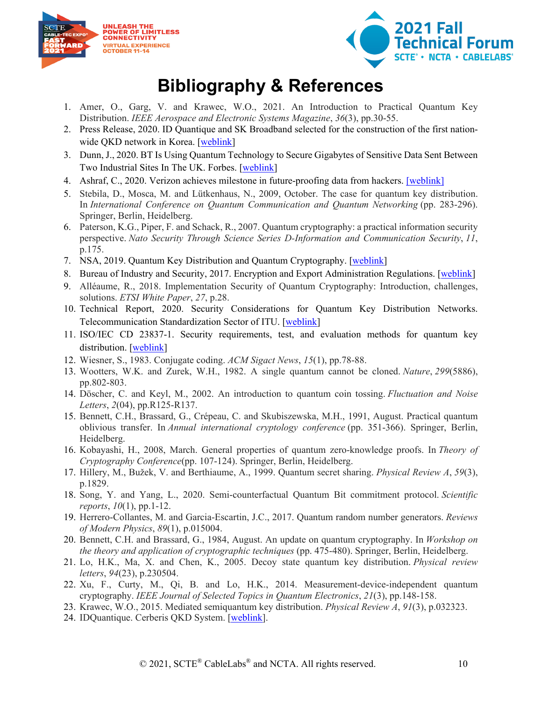



# **Bibliography & References**

- <span id="page-9-0"></span>1. Amer, O., Garg, V. and Krawec, W.O., 2021. An Introduction to Practical Quantum Key Distribution. *IEEE Aerospace and Electronic Systems Magazine*, *36*(3), pp.30-55.
- 2. Press Release, 2020. ID Quantique and SK Broadband selected for the construction of the first nationwide QKD network in Korea. [\[weblink\]](https://marketing.idquantique.com/acton/attachment/11868/f-39e01014-4d71-49d9-b43d-6a98d3153950/1/-/-/-/-/IDQ-SKB_QKD%20for%20National%20Convergence%20Network_PR.pdf)
- 3. Dunn, J., 2020. BT Is Using Quantum Technology to Secure Gigabytes of Sensitive Data Sent Between Two Industrial Sites In The UK. Forbes. [\[weblink\]](https://www.forbes.com/sites/johndunn/2020/10/01/bt-is-using-quantum-technology-to-secure-gigabytes-of-sensitive-data-sent-between-two-industrial-sites-in-the-uk/?sh=70e6b60d6ef4)
- 4. Ashraf, C., 2020. Verizon achieves milestone in future-proofing data from hackers. [\[weblink\]](https://www.verizon.com/about/news/verizon-achieves-milestone-future-proofing-data-hackers)
- 5. Stebila, D., Mosca, M. and Lütkenhaus, N., 2009, October. The case for quantum key distribution. In *International Conference on Quantum Communication and Quantum Networking* (pp. 283-296). Springer, Berlin, Heidelberg.
- 6. Paterson, K.G., Piper, F. and Schack, R., 2007. Quantum cryptography: a practical information security perspective. *Nato Security Through Science Series D-Information and Communication Security*, *11*, p.175.
- 7. NSA, 2019. Quantum Key Distribution and Quantum Cryptography. [\[weblink\]](https://www.nsa.gov/what-we-do/cybersecurity/quantum-key-distribution-qkd-and-quantum-cryptography-qc/)
- 8. Bureau of Industry and Security, 2017. Encryption and Export Administration Regulations. [\[weblink\]](https://www.bis.doc.gov/index.php/policy-guidance/encryption)
- 9. Alléaume, R., 2018. Implementation Security of Quantum Cryptography: Introduction, challenges, solutions. *ETSI White Paper*, *27*, p.28.
- 10. Technical Report, 2020. Security Considerations for Quantum Key Distribution Networks. Telecommunication Standardization Sector of ITU. [\[weblink\]](https://www.itu.int/myitu/-/media/Publications/2020-Publications/Security-considerations-for-quantum-key-distribution-networks.pdf)
- 11. ISO/IEC CD 23837-1. Security requirements, test, and evaluation methods for quantum key distribution. [\[weblink\]](https://www.iso.org/standard/77097.html)
- 12. Wiesner, S., 1983. Conjugate coding. *ACM Sigact News*, *15*(1), pp.78-88.
- 13. Wootters, W.K. and Zurek, W.H., 1982. A single quantum cannot be cloned. *Nature*, *299*(5886), pp.802-803.
- 14. Döscher, C. and Keyl, M., 2002. An introduction to quantum coin tossing. *Fluctuation and Noise Letters*, *2*(04), pp.R125-R137.
- 15. Bennett, C.H., Brassard, G., Crépeau, C. and Skubiszewska, M.H., 1991, August. Practical quantum oblivious transfer. In *Annual international cryptology conference* (pp. 351-366). Springer, Berlin, Heidelberg.
- 16. Kobayashi, H., 2008, March. General properties of quantum zero-knowledge proofs. In *Theory of Cryptography Conference*(pp. 107-124). Springer, Berlin, Heidelberg.
- 17. Hillery, M., Bužek, V. and Berthiaume, A., 1999. Quantum secret sharing. *Physical Review A*, *59*(3), p.1829.
- 18. Song, Y. and Yang, L., 2020. Semi-counterfactual Quantum Bit commitment protocol. *Scientific reports*, *10*(1), pp.1-12.
- 19. Herrero-Collantes, M. and Garcia-Escartin, J.C., 2017. Quantum random number generators. *Reviews of Modern Physics*, *89*(1), p.015004.
- 20. Bennett, C.H. and Brassard, G., 1984, August. An update on quantum cryptography. In *Workshop on the theory and application of cryptographic techniques* (pp. 475-480). Springer, Berlin, Heidelberg.
- 21. Lo, H.K., Ma, X. and Chen, K., 2005. Decoy state quantum key distribution. *Physical review letters*, *94*(23), p.230504.
- 22. Xu, F., Curty, M., Qi, B. and Lo, H.K., 2014. Measurement-device-independent quantum cryptography. *IEEE Journal of Selected Topics in Quantum Electronics*, *21*(3), pp.148-158.
- 23. Krawec, W.O., 2015. Mediated semiquantum key distribution. *Physical Review A*, *91*(3), p.032323.
- 24. IDQuantique. Cerberis QKD System. [\[weblink\]](https://marketing.idquantique.com/acton/attachment/11868/f-021a/1/-/-/-/-/Cerberis%20QKD%20System_Brochure.pdf).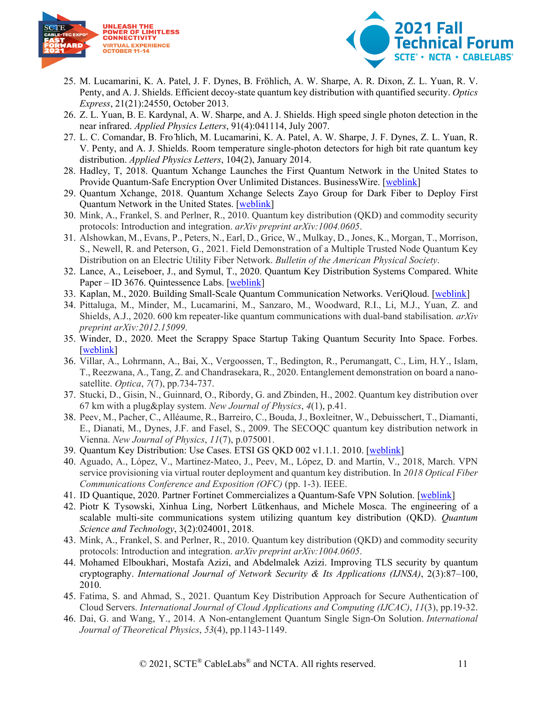



- 25. M. Lucamarini, K. A. Patel, J. F. Dynes, B. Fröhlich, A. W. Sharpe, A. R. Dixon, Z. L. Yuan, R. V. Penty, and A. J. Shields. Efficient decoy-state quantum key distribution with quantified security. *Optics Express*, 21(21):24550, October 2013.
- 26. Z. L. Yuan, B. E. Kardynal, A. W. Sharpe, and A. J. Shields. High speed single photon detection in the near infrared. *Applied Physics Letters*, 91(4):041114, July 2007.
- 27. L. C. Comandar, B. Fro ̈hlich, M. Lucamarini, K. A. Patel, A. W. Sharpe, J. F. Dynes, Z. L. Yuan, R. V. Penty, and A. J. Shields. Room temperature single-photon detectors for high bit rate quantum key distribution. *Applied Physics Letters*, 104(2), January 2014.
- 28. Hadley, T, 2018. Quantum Xchange Launches the First Quantum Network in the United States to Provide Quantum-Safe Encryption Over Unlimited Distances. BusinessWire. [\[weblink\]](https://www.businesswire.com/news/home/20180626005289/en/Quantum-Xchange-Launches-Quantum-Network-United-States)
- 29. Quantum Xchange, 2018. Quantum Xchange Selects Zayo Group for Dark Fiber to Deploy First Quantum Network in the United States. [\[weblink\]](https://quantumxc.com/zayo-group-first-quantum-network-in-us/)
- 30. Mink, A., Frankel, S. and Perlner, R., 2010. Quantum key distribution (QKD) and commodity security protocols: Introduction and integration. *arXiv preprint arXiv:1004.0605*.
- 31. Alshowkan, M., Evans, P., Peters, N., Earl, D., Grice, W., Mulkay, D., Jones, K., Morgan, T., Morrison, S., Newell, R. and Peterson, G., 2021. Field Demonstration of a Multiple Trusted Node Quantum Key Distribution on an Electric Utility Fiber Network. *Bulletin of the American Physical Society*.
- 32. Lance, A., Leiseboer, J., and Symul, T., 2020. Quantum Key Distribution Systems Compared. White Paper – ID 3676. Quintessence Labs. [\[weblink\]](https://info.quintessencelabs.com/qkd-systems-compared)
- 33. Kaplan, M., 2020. Building Small-Scale Quantum Communication Networks. VeriQloud. [\[weblink\]](https://veriqloud.com/qline/)
- 34. Pittaluga, M., Minder, M., Lucamarini, M., Sanzaro, M., Woodward, R.I., Li, M.J., Yuan, Z. and Shields, A.J., 2020. 600 km repeater-like quantum communications with dual-band stabilisation. *arXiv preprint arXiv:2012.15099*.
- 35. Winder, D., 2020. Meet the Scrappy Space Startup Taking Quantum Security Into Space. Forbes. [\[weblink\]](https://www.forbes.com/sites/daveywinder/2020/08/04/meet-the-scrappy-space-startup-taking-quantum-security-into-space-honeywell-loft-orbital-qkd-encryption/?sh=1bc13858286f)
- 36. Villar, A., Lohrmann, A., Bai, X., Vergoossen, T., Bedington, R., Perumangatt, C., Lim, H.Y., Islam, T., Reezwana, A., Tang, Z. and Chandrasekara, R., 2020. Entanglement demonstration on board a nanosatellite. *Optica*, *7*(7), pp.734-737.
- 37. Stucki, D., Gisin, N., Guinnard, O., Ribordy, G. and Zbinden, H., 2002. Quantum key distribution over 67 km with a plug&play system. *New Journal of Physics*, *4*(1), p.41.
- 38. Peev, M., Pacher, C., Alléaume, R., Barreiro, C., Bouda, J., Boxleitner, W., Debuisschert, T., Diamanti, E., Dianati, M., Dynes, J.F. and Fasel, S., 2009. The SECOQC quantum key distribution network in Vienna. *New Journal of Physics*, *11*(7), p.075001.
- 39. Quantum Key Distribution: Use Cases. ETSI GS QKD 002 v1.1.1. 2010. [\[weblink\]](https://www.etsi.org/deliver/etsi_gs/qkd/001_099/002/01.01.01_60/gs_qkd002v010101p.pdf)
- 40. Aguado, A., López, V., Martinez-Mateo, J., Peev, M., López, D. and Martín, V., 2018, March. VPN service provisioning via virtual router deployment and quantum key distribution. In *2018 Optical Fiber Communications Conference and Exposition (OFC)* (pp. 1-3). IEEE.
- 41. ID Quantique, 2020. Partner Fortinet Commercializes a Quantum-Safe VPN Solution. [\[weblink\]](https://www.idquantique.com/id-quantique-partners-with-fortinet-to-commercialize-a-quantum-safe-vpn-solution/)
- 42. Piotr K Tysowski, Xinhua Ling, Norbert Lütkenhaus, and Michele Mosca. The engineering of a scalable multi-site communications system utilizing quantum key distribution (QKD). *Quantum Science and Technology*, 3(2):024001, 2018.
- 43. Mink, A., Frankel, S. and Perlner, R., 2010. Quantum key distribution (QKD) and commodity security protocols: Introduction and integration. *arXiv preprint arXiv:1004.0605*.
- 44. Mohamed Elboukhari, Mostafa Azizi, and Abdelmalek Azizi. Improving TLS security by quantum cryptography. *International Journal of Network Security & Its Applications (IJNSA)*, 2(3):87–100, 2010.
- 45. Fatima, S. and Ahmad, S., 2021. Quantum Key Distribution Approach for Secure Authentication of Cloud Servers. *International Journal of Cloud Applications and Computing (IJCAC)*, *11*(3), pp.19-32.
- 46. Dai, G. and Wang, Y., 2014. A Non-entanglement Quantum Single Sign-On Solution. *International Journal of Theoretical Physics*, *53*(4), pp.1143-1149.